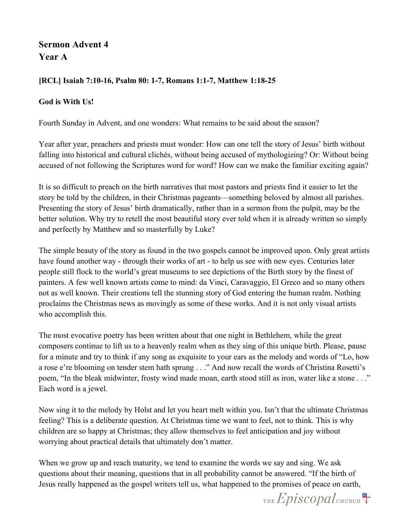## **Sermon Advent 4 Year A**

## **[RCL] Isaiah 7:10-16, Psalm 80: 1-7, Romans 1:1-7, Matthew 1:18-25**

## **God is With Us!**

Fourth Sunday in Advent, and one wonders: What remains to be said about the season?

Year after year, preachers and priests must wonder: How can one tell the story of Jesus' birth without falling into historical and cultural clichés, without being accused of mythologizing? Or: Without being accused of not following the Scriptures word for word? How can we make the familiar exciting again?

It is so difficult to preach on the birth narratives that most pastors and priests find it easier to let the story be told by the children, in their Christmas pageants—something beloved by almost all parishes. Presenting the story of Jesus' birth dramatically, rather than in a sermon from the pulpit, may be the better solution. Why try to retell the most beautiful story ever told when it is already written so simply and perfectly by Matthew and so masterfully by Luke?

The simple beauty of the story as found in the two gospels cannot be improved upon. Only great artists have found another way - through their works of art - to help us see with new eyes. Centuries later people still flock to the world's great museums to see depictions of the Birth story by the finest of painters. A few well known artists come to mind: da Vinci, Caravaggio, El Greco and so many others not as well known. Their creations tell the stunning story of God entering the human realm. Nothing proclaims the Christmas news as movingly as some of these works. And it is not only visual artists who accomplish this.

The most evocative poetry has been written about that one night in Bethlehem, while the great composers continue to lift us to a heavenly realm when as they sing of this unique birth. Please, pause for a minute and try to think if any song as exquisite to your ears as the melody and words of "Lo, how a rose e're blooming on tender stem hath sprung . . ." And now recall the words of Christina Rosetti's poem, "In the bleak midwinter, frosty wind made moan, earth stood still as iron, water like a stone . . ." Each word is a jewel.

Now sing it to the melody by Holst and let you heart melt within you. Isn't that the ultimate Christmas feeling? This is a deliberate question. At Christmas time we want to feel, not to think. This is why children are so happy at Christmas; they allow themselves to feel anticipation and joy without worrying about practical details that ultimately don't matter.

When we grow up and reach maturity, we tend to examine the words we say and sing. We ask questions about their meaning, questions that in all probability cannot be answered. "If the birth of Jesus really happened as the gospel writers tell us, what happened to the promises of peace on earth,

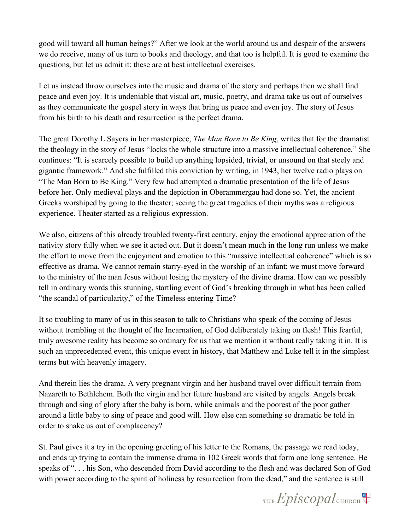good will toward all human beings?" After we look at the world around us and despair of the answers we do receive, many of us turn to books and theology, and that too is helpful. It is good to examine the questions, but let us admit it: these are at best intellectual exercises.

Let us instead throw ourselves into the music and drama of the story and perhaps then we shall find peace and even joy. It is undeniable that visual art, music, poetry, and drama take us out of ourselves as they communicate the gospel story in ways that bring us peace and even joy. The story of Jesus from his birth to his death and resurrection is the perfect drama.

The great Dorothy L Sayers in her masterpiece, *The Man Born to Be King*, writes that for the dramatist the theology in the story of Jesus "locks the whole structure into a massive intellectual coherence." She continues: "It is scarcely possible to build up anything lopsided, trivial, or unsound on that steely and gigantic framework." And she fulfilled this conviction by writing, in 1943, her twelve radio plays on "The Man Born to Be King." Very few had attempted a dramatic presentation of the life of Jesus before her. Only medieval plays and the depiction in Oberammergau had done so. Yet, the ancient Greeks worshiped by going to the theater; seeing the great tragedies of their myths was a religious experience. Theater started as a religious expression.

We also, citizens of this already troubled twenty-first century, enjoy the emotional appreciation of the nativity story fully when we see it acted out. But it doesn't mean much in the long run unless we make the effort to move from the enjoyment and emotion to this "massive intellectual coherence" which is so effective as drama. We cannot remain starry-eyed in the worship of an infant; we must move forward to the ministry of the man Jesus without losing the mystery of the divine drama. How can we possibly tell in ordinary words this stunning, startling event of God's breaking through in what has been called "the scandal of particularity," of the Timeless entering Time?

It so troubling to many of us in this season to talk to Christians who speak of the coming of Jesus without trembling at the thought of the Incarnation, of God deliberately taking on flesh! This fearful, truly awesome reality has become so ordinary for us that we mention it without really taking it in. It is such an unprecedented event, this unique event in history, that Matthew and Luke tell it in the simplest terms but with heavenly imagery.

And therein lies the drama. A very pregnant virgin and her husband travel over difficult terrain from Nazareth to Bethlehem. Both the virgin and her future husband are visited by angels. Angels break through and sing of glory after the baby is born, while animals and the poorest of the poor gather around a little baby to sing of peace and good will. How else can something so dramatic be told in order to shake us out of complacency?

St. Paul gives it a try in the opening greeting of his letter to the Romans, the passage we read today, and ends up trying to contain the immense drama in 102 Greek words that form one long sentence. He speaks of ". . . his Son, who descended from David according to the flesh and was declared Son of God with power according to the spirit of holiness by resurrection from the dead," and the sentence is still

THE Episcopal CHURCH